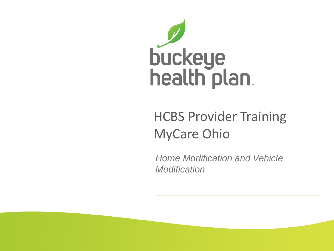

#### HCBS Provider Training MyCare Ohio

*Home Modification and Vehicle Modification*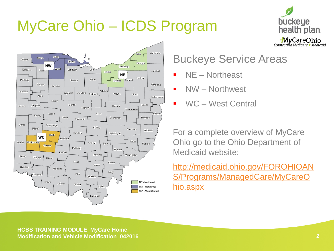### MyCare Ohio – ICDS Program





#### Buckeye Service Areas

- NE Northeast
- NW Northwest
- WC West Central

For a complete overview of MyCare Ohio go to the Ohio Department of Medicaid website:

http://medicaid.ohio.gov/FOROHIOAN [S/Programs/ManagedCare/MyCareO](http://medicaid.ohio.gov/FOROHIOANS/Programs/ManagedCare/MyCareOhio.aspx) hio.aspx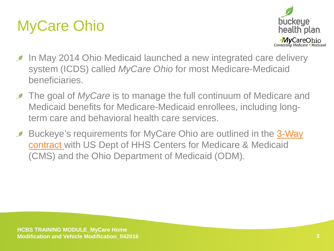### MyCare Ohio



- In May 2014 Ohio Medicaid launched a new integrated care delivery  $\mathscr{D}$ system (ICDS) called *MyCare Ohio* for most Medicare-Medicaid beneficiaries.
- **The goal of MyCare is to manage the full continuum of Medicare and** Medicaid benefits for Medicare-Medicaid enrollees, including longterm care and behavioral health care services.
- [Buckeye's requirements for MyCare Ohio are outlined in the 3-Way](http://medicaid.ohio.gov/Portals/0/Providers/ProviderTypes/Managed%20Care/ICDS/3-WayContract.pdf)   $\mathscr{D}$ contract with US Dept of HHS Centers for Medicare & Medicaid (CMS) and the Ohio Department of Medicaid (ODM).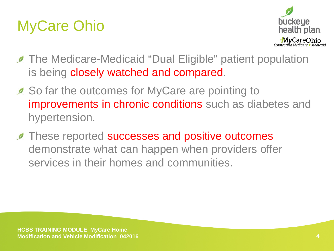### MyCare Ohio



- **The Medicare-Medicaid "Dual Eligible" patient population** is being closely watched and compared.
- So far the outcomes for MyCare are pointing to improvements in chronic conditions such as diabetes and hypertension.
- **These reported successes and positive outcomes** demonstrate what can happen when providers offer services in their homes and communities.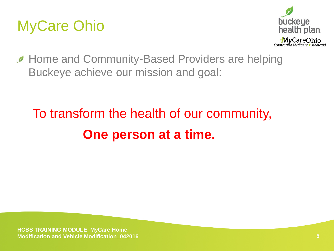



**Home and Community-Based Providers are helping** Buckeye achieve our mission and goal:

### To transform the health of our community, **One person at a time.**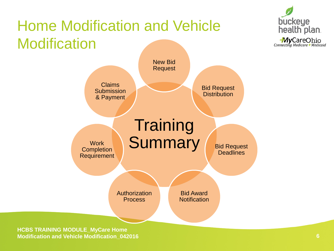### Home Modification and Vehicle **Modification**



**HCBS TRAINING MODULE\_MyCare Home Modification and Vehicle Modification\_042016 6**

buckeye

health plan.

**MyCareOhio**<br>Connecting Medicare + Medicaid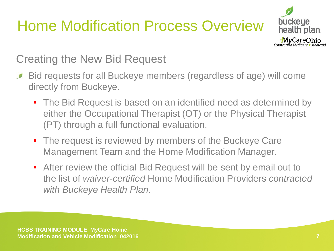### Home Modification Process Overview



Creating the New Bid Request

- Bid requests for all Buckeye members (regardless of age) will come  $\mathscr{D}$ directly from Buckeye.
	- The Bid Request is based on an identified need as determined by either the Occupational Therapist (OT) or the Physical Therapist (PT) through a full functional evaluation.
	- The request is reviewed by members of the Buckeye Care Management Team and the Home Modification Manager.
	- After review the official Bid Request will be sent by email out to the list of *waiver-certified* Home Modification Providers *contracted with Buckeye Health Plan*.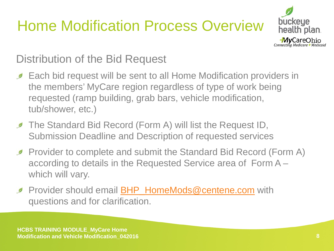### Home Modification Process Overview



Distribution of the Bid Request

- **Each bid request will be sent to all Home Modification providers in** the members' MyCare region regardless of type of work being requested (ramp building, grab bars, vehicle modification, tub/shower, etc.)
- **The Standard Bid Record (Form A) will list the Request ID,** Submission Deadline and Description of requested services
- **Provider to complete and submit the Standard Bid Record (Form A)** according to details in the Requested Service area of Form A – which will vary.
- Provider should email **[BHP\\_HomeMods@centene.com](mailto:BHP_HomeMods@centene.com)** with  $\mathscr{D}$ questions and for clarification.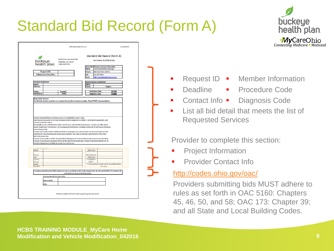### Standard Bid Record (Form A)

 $(1.0010000)$ 



|                                               | buckeye                     | 4349 Easton Way Suite 200<br>Columbus, OH 43219                                                                                                                                                                                                                                                                                                                                                                   |                                 | <b>For Home Modifications</b>                 |                                                  |  |
|-----------------------------------------------|-----------------------------|-------------------------------------------------------------------------------------------------------------------------------------------------------------------------------------------------------------------------------------------------------------------------------------------------------------------------------------------------------------------------------------------------------------------|---------------------------------|-----------------------------------------------|--------------------------------------------------|--|
|                                               | health plan.                | 1-866-296-8731                                                                                                                                                                                                                                                                                                                                                                                                    |                                 | <b>Home Modifications Contact Information</b> |                                                  |  |
|                                               |                             |                                                                                                                                                                                                                                                                                                                                                                                                                   | <b>Name:</b>                    | <b>Home Modification Manager</b>              |                                                  |  |
|                                               | <b>Request ID:</b>          |                                                                                                                                                                                                                                                                                                                                                                                                                   | Phone:                          | 866-246-4356 x24754                           |                                                  |  |
|                                               | <b>Submission Deadline:</b> |                                                                                                                                                                                                                                                                                                                                                                                                                   | Fax:                            | 855-294-0604                                  |                                                  |  |
|                                               |                             |                                                                                                                                                                                                                                                                                                                                                                                                                   | Email                           | <b>BHP HomeMods@tentene.com</b>               |                                                  |  |
| <b>Member Information</b>                     |                             |                                                                                                                                                                                                                                                                                                                                                                                                                   |                                 | <b>Waiver Service Coordinator</b>             |                                                  |  |
| <b>Name:</b>                                  |                             |                                                                                                                                                                                                                                                                                                                                                                                                                   | Name:                           |                                               |                                                  |  |
| Address:                                      |                             |                                                                                                                                                                                                                                                                                                                                                                                                                   | Phone:                          |                                               | <b>Region:</b>                                   |  |
| Phone:                                        |                             | County:                                                                                                                                                                                                                                                                                                                                                                                                           |                                 | <b>Procedure Code:</b>                        | <b>S5165</b>                                     |  |
| Medicald #:                                   |                             | DOB:                                                                                                                                                                                                                                                                                                                                                                                                              |                                 | <b>Diagnosis Code:</b>                        | R6889                                            |  |
|                                               | maintenance information.    | Include individual/family and home owner in modification/repair plans.<br>Upon delivery, provider to instruct individual and/or caregivers on safety in utilizing this equipment, and<br>Bids must include a detailed description of the work, cost of material and labor, a before and after photo<br>and/or sketch (with dimensions) of the proposed modification, a written statement of warranties (materials |                                 |                                               |                                                  |  |
| <b>Administrative Code.</b>                   |                             | Provider to include a written statement that all employees and subcontractors to be used to perform the<br>modification have the necessary experience and skills, and meet all provider requirements of the Ohio<br>Provider responsible to obtain all applicable building permits and maintain proper licensure and bonding.                                                                                     |                                 |                                               |                                                  |  |
| and workmanship).                             |                             | Provider must present documents for all of the above mentioned upon request of Buckeye Health Plan or<br>the Ohio Department of Medicald and/or it's contractors.                                                                                                                                                                                                                                                 |                                 |                                               |                                                  |  |
|                                               |                             |                                                                                                                                                                                                                                                                                                                                                                                                                   |                                 |                                               |                                                  |  |
|                                               |                             |                                                                                                                                                                                                                                                                                                                                                                                                                   |                                 |                                               |                                                  |  |
|                                               |                             |                                                                                                                                                                                                                                                                                                                                                                                                                   | Labor Cost:                     |                                               |                                                  |  |
|                                               |                             |                                                                                                                                                                                                                                                                                                                                                                                                                   | <b>Material Cost:</b>           |                                               |                                                  |  |
| Fax:                                          |                             |                                                                                                                                                                                                                                                                                                                                                                                                                   | <b>Total Cost:</b>              |                                               |                                                  |  |
| Contact<br>Personn                            |                             |                                                                                                                                                                                                                                                                                                                                                                                                                   | Completion<br>Date <sup>*</sup> |                                               |                                                  |  |
|                                               |                             |                                                                                                                                                                                                                                                                                                                                                                                                                   |                                 |                                               | "if awarded the project will be completed within |  |
| <b>Name:</b><br>Phone:<br>Email:<br>Tax ID #: |                             |                                                                                                                                                                                                                                                                                                                                                                                                                   |                                 | this time.                                    |                                                  |  |

**BHP Home Mod Form A** 

- **-** Request ID **-** Member Information **Deadline Contact Info • Diagnosis Code Procedure Code**
- **List all bid detail that meets the list of** Requested Services

Provider to complete this section:

- Project Information
- **Provider Contact Info.**

#### <http://codes.ohio.gov/oac/>

Providers submitting bids MUST adhere to rules as set forth in OAC 5160: Chapters 45, 46, 50, and 58; OAC 173: Chapter 39; and all State and Local Building Codes.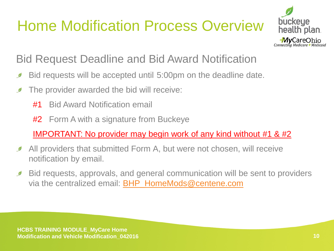### Home Modification Process Overview



#### Bid Request Deadline and Bid Award Notification

- Bid requests will be accepted until 5:00pm on the deadline date. Ø
- The provider awarded the bid will receive:  $\mathscr{D}$ 
	- #1 Bid Award Notification email
	- **#2** Form A with a signature from Buckeye

IMPORTANT: No provider may begin work of any kind without #1 & #2

- All providers that submitted Form A, but were not chosen, will receive Ø notification by email.
- Bid requests, approvals, and general communication will be sent to providers  $\mathcal{D}$ via the centralized email: [BHP\\_HomeMods@centene.com](mailto:BHP_HomeMods@centene.com)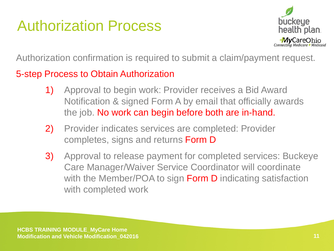#### Authorization Process



Authorization confirmation is required to submit a claim/payment request.

#### 5-step Process to Obtain Authorization

- 1) Approval to begin work: Provider receives a Bid Award Notification & signed Form A by email that officially awards the job. No work can begin before both are in-hand.
- 2) Provider indicates services are completed: Provider completes, signs and returns Form D
- 3) Approval to release payment for completed services: Buckeye Care Manager/Waiver Service Coordinator will coordinate with the Member/POA to sign **Form D** indicating satisfaction with completed work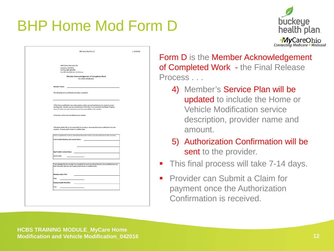#### BHP Home Mod Form D



| <b>BHP Home Mod Form D</b>                                                                                                                                                                                                                                                  | v. 02152016 |
|-----------------------------------------------------------------------------------------------------------------------------------------------------------------------------------------------------------------------------------------------------------------------------|-------------|
|                                                                                                                                                                                                                                                                             |             |
| 4349 Easton Way Suite 200<br>Columbus, OH 43219<br>Toll Free: 866-246-4356<br>Fax: 855-294-0604 Attn. M. Gloriosa<br><b>Member Acknowledgement of Completed Work</b>                                                                                                        |             |
| For a Home Modification                                                                                                                                                                                                                                                     |             |
| <b>Member's Name:</b>                                                                                                                                                                                                                                                       |             |
| The following home modification has been completed:                                                                                                                                                                                                                         |             |
| 1) The Home modification may need ongoing routine care and maintenance to remain in proper<br>working order. Routine care and maintenance of this item is not covered by the Waiver Program.<br>Costs of routine care and maintenance are the responsibility of the member. |             |
| 2) Describe routine Care and Maintenance needed:                                                                                                                                                                                                                            |             |
| 3) Buckeye Health Plan is not responsible for moving or removing this home modification from the<br>property. Property shall remain in modified state.                                                                                                                      |             |
| Thave completed the work as ordered and discussed routine care and maintenance with consumer.<br><b>Print Provider Business and Contact Name:</b>                                                                                                                           |             |
| <b>Sign Provider Contact Name:</b>                                                                                                                                                                                                                                          |             |
| <b>Service Date:</b>                                                                                                                                                                                                                                                        |             |
| I acknowledge that the provider has completed the work as ordered, Routine Care and Maintence has<br>been discussed with me, and Property shall remain in modified state.                                                                                                   |             |
| <b>Member and/or POA:</b>                                                                                                                                                                                                                                                   |             |
| Date:<br><b>Buckeye Health Plan/WSC:</b>                                                                                                                                                                                                                                    |             |
| Date:                                                                                                                                                                                                                                                                       |             |
|                                                                                                                                                                                                                                                                             |             |
|                                                                                                                                                                                                                                                                             |             |
|                                                                                                                                                                                                                                                                             |             |

Form D is the Member Acknowledgement of Completed Work - the Final Release Process . . .

- 4) Member's Service Plan will be updated to include the Home or Vehicle Modification service description, provider name and amount.
- 5) Authorization Confirmation will be sent to the provider.
- This final process will take 7-14 days.
- Provider can Submit a Claim for payment once the Authorization Confirmation is received.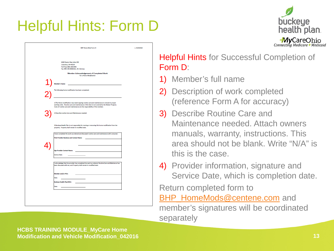#### Helpful Hints: Form D



| <b>BHP Home Mod Form D</b>                                                                                                                                                | v. 02152016 |
|---------------------------------------------------------------------------------------------------------------------------------------------------------------------------|-------------|
|                                                                                                                                                                           |             |
|                                                                                                                                                                           |             |
|                                                                                                                                                                           |             |
| 4349 Easton Way Suite 200                                                                                                                                                 |             |
| Columbus, OH 43219                                                                                                                                                        |             |
| Toll Free: 866-246-4356<br>Fax: 855-294-0604 Attn. M. Gloriosa                                                                                                            |             |
|                                                                                                                                                                           |             |
| <b>Member Acknowledgement of Completed Work</b><br>For a Home Modification                                                                                                |             |
|                                                                                                                                                                           |             |
|                                                                                                                                                                           |             |
| <b>Member's Name:</b>                                                                                                                                                     |             |
|                                                                                                                                                                           |             |
| The following home modification has been completed:                                                                                                                       |             |
|                                                                                                                                                                           |             |
|                                                                                                                                                                           |             |
| 1) The Home modification may need ongoing routine care and maintenance to remain in proper                                                                                |             |
| working order. Routine care and maintenance of this item is not covered by the Walver Program.                                                                            |             |
| Costs of routine care and maintenance are the responsibility of the member.                                                                                               |             |
|                                                                                                                                                                           |             |
| 2) Describe routine Care and Maintenance needed:                                                                                                                          |             |
|                                                                                                                                                                           |             |
|                                                                                                                                                                           |             |
| 3) Buckeye Health Plan is not responsible for moving or removing this home modification from the                                                                          |             |
| property. Property shall remain in modified state.                                                                                                                        |             |
|                                                                                                                                                                           |             |
| I have completed the work as ordered and discussed routine care and maintenance with consumer.                                                                            |             |
| <b>Print Provider Business and Contact Name:</b>                                                                                                                          |             |
|                                                                                                                                                                           |             |
|                                                                                                                                                                           |             |
|                                                                                                                                                                           |             |
| <b>Sign Provider Contact Name:</b>                                                                                                                                        |             |
| <b>Service Date:</b>                                                                                                                                                      |             |
|                                                                                                                                                                           |             |
|                                                                                                                                                                           |             |
| I acknowledge that the provider has completed the work as ordered, Routine Care and Maintence has<br>been discussed with me, and Property shall remain in modified state. |             |
|                                                                                                                                                                           |             |
|                                                                                                                                                                           |             |
| <b>Member and/or POA:</b>                                                                                                                                                 |             |
| Date:                                                                                                                                                                     |             |
| <b>Buckeye Health Plan/WSC:</b>                                                                                                                                           |             |
|                                                                                                                                                                           |             |
| Date:                                                                                                                                                                     |             |
|                                                                                                                                                                           |             |
|                                                                                                                                                                           |             |
|                                                                                                                                                                           |             |
|                                                                                                                                                                           |             |
|                                                                                                                                                                           |             |

#### Helpful Hints for Successful Completion of Form D:

- 1) Member's full name
- 2) Description of work completed (reference Form A for accuracy)
- 3) Describe Routine Care and Maintenance needed. Attach owners manuals, warranty, instructions. This area should not be blank. Write "N/A" is this is the case.
- 4) Provider information, signature and Service Date, which is completion date.

Return completed form to [BHP\\_HomeMods@centene.com](mailto:BHP_HomeMods@centene.com) and member's signatures will be coordinated separately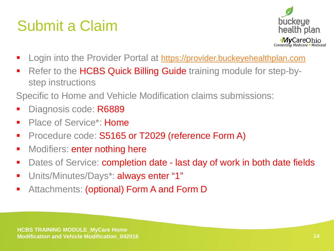#### Submit a Claim



- Login into the Provider Portal at [https://provider.buckeyehealthplan.com](https://provider.buckeyehealthplan.com/)
- Refer to the HCBS Quick Billing Guide training module for step-bystep instructions

Specific to Home and Vehicle Modification claims submissions:

- Diagnosis code: R6889
- Place of Service<sup>\*</sup>: Home
- Procedure code: S5165 or T2029 (reference Form A)
- Modifiers: enter nothing here
- Dates of Service: completion date last day of work in both date fields
- Units/Minutes/Days\*: always enter "1"
- **Attachments: (optional) Form A and Form D**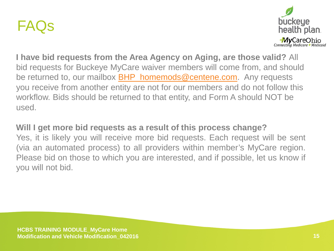#### FAQs



**I have bid requests from the Area Agency on Aging, are those valid?** All bid requests for Buckeye MyCare waiver members will come from, and should be returned to, our mailbox **BHP\_homemods@centene.com**. Any requests you receive from another entity are not for our members and do not follow this workflow. Bids should be returned to that entity, and Form A should NOT be used.

#### **Will I get more bid requests as a result of this process change?**

Yes, it is likely you will receive more bid requests. Each request will be sent (via an automated process) to all providers within member's MyCare region. Please bid on those to which you are interested, and if possible, let us know if you will not bid.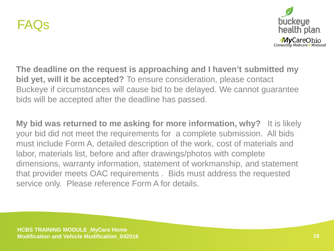



**The deadline on the request is approaching and I haven't submitted my bid yet, will it be accepted?** To ensure consideration, please contact Buckeye if circumstances will cause bid to be delayed. We cannot guarantee bids will be accepted after the deadline has passed.

**My bid was returned to me asking for more information, why?** It is likely your bid did not meet the requirements for a complete submission. All bids must include Form A, detailed description of the work, cost of materials and labor, materials list, before and after drawings/photos with complete dimensions, warranty information, statement of workmanship, and statement that provider meets OAC requirements . Bids must address the requested service only. Please reference Form A for details.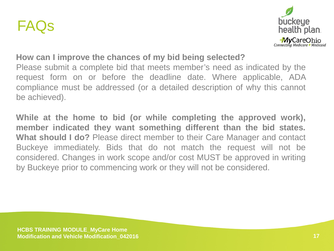



#### **How can I improve the chances of my bid being selected?**

Please submit a complete bid that meets member's need as indicated by the request form on or before the deadline date. Where applicable, ADA compliance must be addressed (or a detailed description of why this cannot be achieved).

**While at the home to bid (or while completing the approved work), member indicated they want something different than the bid states. What should I do?** Please direct member to their Care Manager and contact Buckeye immediately. Bids that do not match the request will not be considered. Changes in work scope and/or cost MUST be approved in writing by Buckeye prior to commencing work or they will not be considered.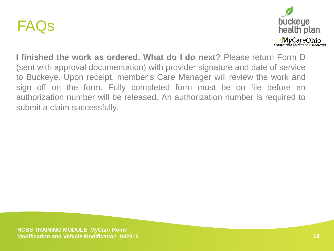



**I finished the work as ordered. What do I do next?** Please return Form D (sent with approval documentation) with provider signature and date of service to Buckeye. Upon receipt, member's Care Manager will review the work and sign off on the form. Fully completed form must be on file before an authorization number will be released. An authorization number is required to submit a claim successfully.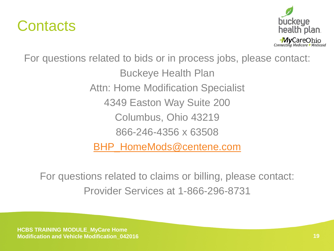



For questions related to bids or in process jobs, please contact: Buckeye Health Plan Attn: Home Modification Specialist 4349 Easton Way Suite 200 Columbus, Ohio 43219 866-246-4356 x 63508 [BHP\\_HomeMods@centene.com](mailto:BHP_HomeMods@centene.com)

For questions related to claims or billing, please contact: Provider Services at 1-866-296-8731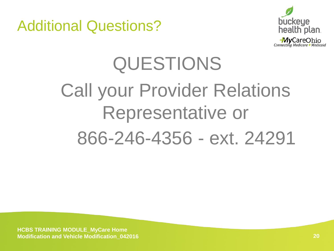



## QUESTIONS Call your Provider Relations Representative or 866-246-4356 - ext. 24291